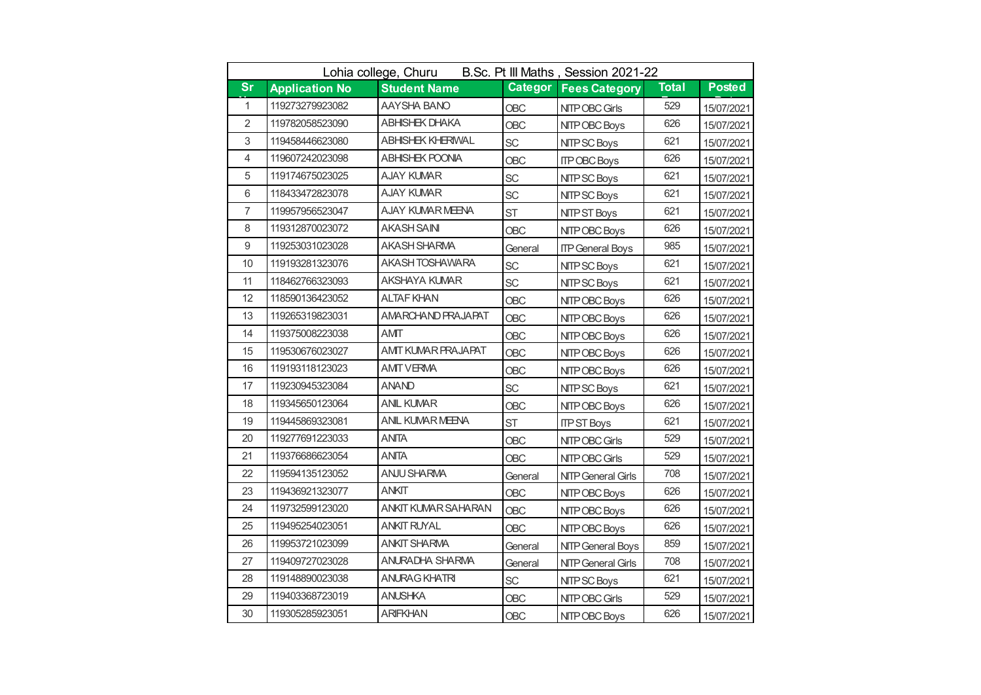| B.Sc. Pt III Maths, Session 2021-22<br>Lohia college, Churu |                       |                            |                |                           |              |               |
|-------------------------------------------------------------|-----------------------|----------------------------|----------------|---------------------------|--------------|---------------|
| <b>Sr</b>                                                   | <b>Application No</b> | <b>Student Name</b>        | <b>Categor</b> | <b>Fees Category</b>      | <b>Total</b> | <b>Posted</b> |
| $\mathbf{1}$                                                | 119273279923082       | AAYSHA BANO                | OBC            | NITP OBC Girls            | 529          | 15/07/2021    |
| $\overline{2}$                                              | 119782058523090       | ABHISHEK DHAKA             | <b>OBC</b>     | NITP OBC Boys             | 626          | 15/07/2021    |
| 3                                                           | 119458446623080       | ABHISHEK KHERIWAL          | <b>SC</b>      | NITP SC Boys              | 621          | 15/07/2021    |
| 4                                                           | 119607242023098       | ABHISHEK POONIA            | OBC            | <b>ITP OBC Boys</b>       | 626          | 15/07/2021    |
| 5                                                           | 119174675023025       | AJAY KUMAR                 | <b>SC</b>      | NITP SC Boys              | 621          | 15/07/2021    |
| 6                                                           | 118433472823078       | <b>AJAY KUMAR</b>          | <b>SC</b>      | NITP SC Boys              | 621          | 15/07/2021    |
| $\overline{7}$                                              | 119957956523047       | <b>AJAY KUMAR MEENA</b>    | <b>ST</b>      | NITP ST Boys              | 621          | 15/07/2021    |
| 8                                                           | 119312870023072       | AKASH SAINI                | <b>OBC</b>     | NITP OBC Boys             | 626          | 15/07/2021    |
| $\overline{9}$                                              | 119253031023028       | <b>AKASH SHARMA</b>        | General        | <b>ITP General Boys</b>   | 985          | 15/07/2021    |
| 10                                                          | 119193281323076       | AKASH TOSHAWARA            | <b>SC</b>      | NITP SC Boys              | 621          | 15/07/2021    |
| 11                                                          | 118462766323093       | AKSHAYA KUMAR              | <b>SC</b>      | NITP SC Boys              | 621          | 15/07/2021    |
| 12                                                          | 118590136423052       | <b>ALTAF KHAN</b>          | <b>OBC</b>     | NITP OBC Boys             | 626          | 15/07/2021    |
| 13                                                          | 119265319823031       | AMARCHAND PRAJAPAT         | OBC            | NITP OBC Boys             | 626          | 15/07/2021    |
| 14                                                          | 119375008223038       | AMIT                       | <b>OBC</b>     | NITP OBC Boys             | 626          | 15/07/2021    |
| 15                                                          | 119530676023027       | <b>AMIT KUMAR PRAJAPAT</b> | <b>OBC</b>     | NITP OBC Boys             | 626          | 15/07/2021    |
| 16                                                          | 119193118123023       | <b>AMIT VERMA</b>          | OBC            | NITP OBC Boys             | 626          | 15/07/2021    |
| 17                                                          | 119230945323084       | ANAND                      | <b>SC</b>      | NITP SC Boys              | 621          | 15/07/2021    |
| 18                                                          | 119345650123064       | <b>ANIL KUMAR</b>          | <b>OBC</b>     | NITP OBC Boys             | 626          | 15/07/2021    |
| 19                                                          | 119445869323081       | ANIL KUMAR MEENA           | <b>ST</b>      | <b>ITP ST Boys</b>        | 621          | 15/07/2021    |
| 20                                                          | 119277691223033       | <b>ANITA</b>               | <b>OBC</b>     | NITP OBC Girls            | 529          | 15/07/2021    |
| 21                                                          | 119376686623054       | <b>ANITA</b>               | <b>OBC</b>     | NITP OBC Girls            | 529          | 15/07/2021    |
| 22                                                          | 119594135123052       | ANJU SHARMA                | General        | <b>NITP General Girls</b> | 708          | 15/07/2021    |
| 23                                                          | 119436921323077       | <b>ANKIT</b>               | <b>OBC</b>     | NITP OBC Boys             | 626          | 15/07/2021    |
| 24                                                          | 119732599123020       | <b>ANKIT KUMAR SAHARAN</b> | <b>OBC</b>     | NITP OBC Boys             | 626          | 15/07/2021    |
| 25                                                          | 119495254023051       | <b>ANKIT RUYAL</b>         | <b>OBC</b>     | NITP OBC Boys             | 626          | 15/07/2021    |
| 26                                                          | 119953721023099       | <b>ANKIT SHARMA</b>        | General        | NITP General Boys         | 859          | 15/07/2021    |
| 27                                                          | 119409727023028       | <b>ANURADHA SHARMA</b>     | General        | <b>NITP General Girls</b> | 708          | 15/07/2021    |
| 28                                                          | 119148890023038       | <b>ANURAG KHATRI</b>       | SC             | NITP SC Boys              | 621          | 15/07/2021    |
| 29                                                          | 119403368723019       | <b>ANUSHKA</b>             | <b>OBC</b>     | NITP OBC Girls            | 529          | 15/07/2021    |
| 30                                                          | 119305285923051       | <b>ARIFKHAN</b>            | <b>OBC</b>     | NITP OBC Boys             | 626          | 15/07/2021    |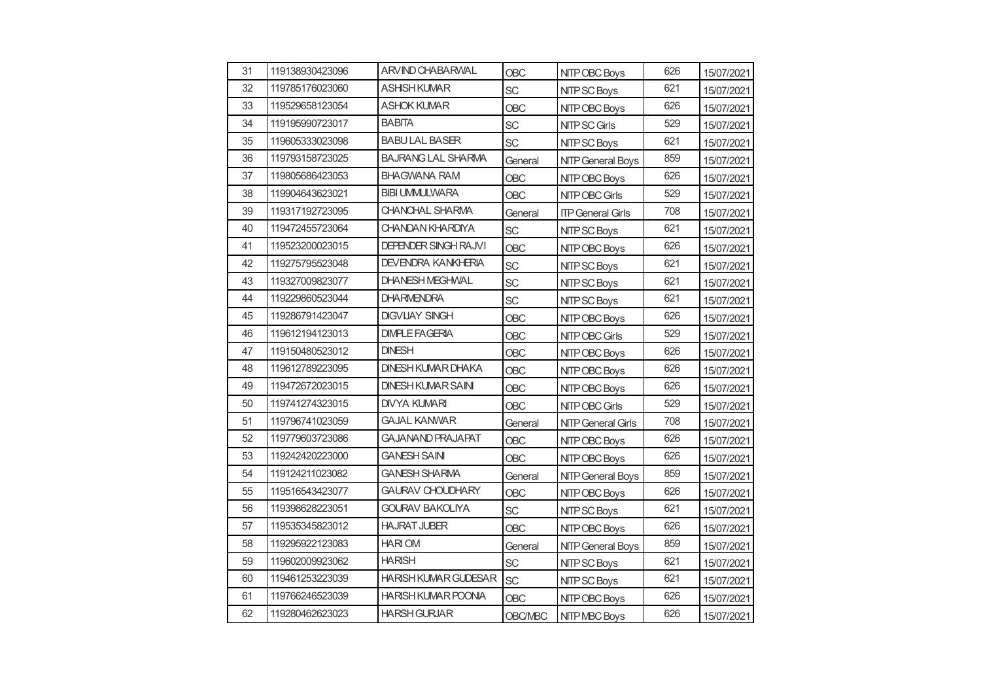| 31 | 119138930423096 | <b>ARVIND CHABARWAL</b>     | OBC            | NITP OBC Boys             | 626 | 15/07/2021 |
|----|-----------------|-----------------------------|----------------|---------------------------|-----|------------|
| 32 | 119785176023060 | <b>ASHISH KUMAR</b>         | SC             | NITP SC Boys              | 621 | 15/07/2021 |
| 33 | 119529658123054 | ASHOK KUMAR                 | <b>OBC</b>     | NITP OBC Boys             | 626 | 15/07/2021 |
| 34 | 119195990723017 | <b>BABITA</b>               | SC             | <b>NITP SC Girls</b>      | 529 | 15/07/2021 |
| 35 | 119605333023098 | <b>BABULAL BASER</b>        | <b>SC</b>      | NITP SC Boys              | 621 | 15/07/2021 |
| 36 | 119793158723025 | <b>BAJRANG LAL SHARMA</b>   | General        | <b>NITP General Boys</b>  | 859 | 15/07/2021 |
| 37 | 119805686423053 | <b>BHAGWANA RAM</b>         | OBC            | NITP OBC Boys             | 626 | 15/07/2021 |
| 38 | 119904643623021 | <b>BIBI UMMULWARA</b>       | OBC            | NITP OBC Girls            | 529 | 15/07/2021 |
| 39 | 119317192723095 | CHANCHAL SHARMA             | General        | <b>ITP General Girls</b>  | 708 | 15/07/2021 |
| 40 | 119472455723064 | CHANDAN KHARDIYA            | SC             | NITP SC Boys              | 621 | 15/07/2021 |
| 41 | 119523200023015 | DEPENDER SINGH RAJVI        | <b>OBC</b>     | NITP OBC Boys             | 626 | 15/07/2021 |
| 42 | 119275795523048 | <b>DEVENDRA KANKHERIA</b>   | SC             | NITP SC Boys              | 621 | 15/07/2021 |
| 43 | 119327009823077 | <b>DHANESH MEGHWAL</b>      | SC             | NITP SC Boys              | 621 | 15/07/2021 |
| 44 | 119229860523044 | <b>DHARMENDRA</b>           | <b>SC</b>      | NITP SC Boys              | 621 | 15/07/2021 |
| 45 | 119286791423047 | <b>DIGVIJAY SINGH</b>       | OBC            | NITP OBC Boys             | 626 | 15/07/2021 |
| 46 | 119612194123013 | <b>DIMPLE FAGERIA</b>       | <b>OBC</b>     | NITP OBC Girls            | 529 | 15/07/2021 |
| 47 | 119150480523012 | <b>DINESH</b>               | <b>OBC</b>     | NITP OBC Boys             | 626 | 15/07/2021 |
| 48 | 119612789223095 | DINESH KUMAR DHAKA          | OBC            | NITP OBC Boys             | 626 | 15/07/2021 |
| 49 | 119472672023015 | <b>DINESH KUMAR SAINI</b>   | <b>OBC</b>     | NITP OBC Boys             | 626 | 15/07/2021 |
| 50 | 119741274323015 | DIVYA KUMARI                | OBC            | NITP OBC Girls            | 529 | 15/07/2021 |
| 51 | 119796741023059 | GAJAL KANWAR                | General        | <b>NITP General Girls</b> | 708 | 15/07/2021 |
| 52 | 119779603723086 | GAJANAND PRAJAPAT           | <b>OBC</b>     | NITP OBC Boys             | 626 | 15/07/2021 |
| 53 | 119242420223000 | <b>GANESH SAIN</b>          | <b>OBC</b>     | NITP OBC Boys             | 626 | 15/07/2021 |
| 54 | 119124211023082 | <b>GANESH SHARMA</b>        | General        | <b>NITP General Boys</b>  | 859 | 15/07/2021 |
| 55 | 119516543423077 | <b>GAURAV CHOUDHARY</b>     | <b>OBC</b>     | NITP OBC Boys             | 626 | 15/07/2021 |
| 56 | 119398628223051 | <b>GOURAV BAKOLIYA</b>      | <b>SC</b>      | NITP SC Boys              | 621 | 15/07/2021 |
| 57 | 119535345823012 | <b>HAJRAT JUBER</b>         | <b>OBC</b>     | NITP OBC Boys             | 626 | 15/07/2021 |
| 58 | 119295922123083 | <b>HARIOM</b>               | General        | <b>NITP General Boys</b>  | 859 | 15/07/2021 |
| 59 | 119602009923062 | <b>HARISH</b>               | <b>SC</b>      | NITP SC Boys              | 621 | 15/07/2021 |
| 60 | 119461253223039 | <b>HARISH KUMAR GUDESAR</b> | <b>SC</b>      | NITP SC Boys              | 621 | 15/07/2021 |
| 61 | 119766246523039 | HARISH KUMAR POONIA         | <b>OBC</b>     | NITP OBC Boys             | 626 | 15/07/2021 |
| 62 | 119280462623023 | <b>HARSH GURJAR</b>         | <b>OBC/MBC</b> | NITP MBC Boys             | 626 | 15/07/2021 |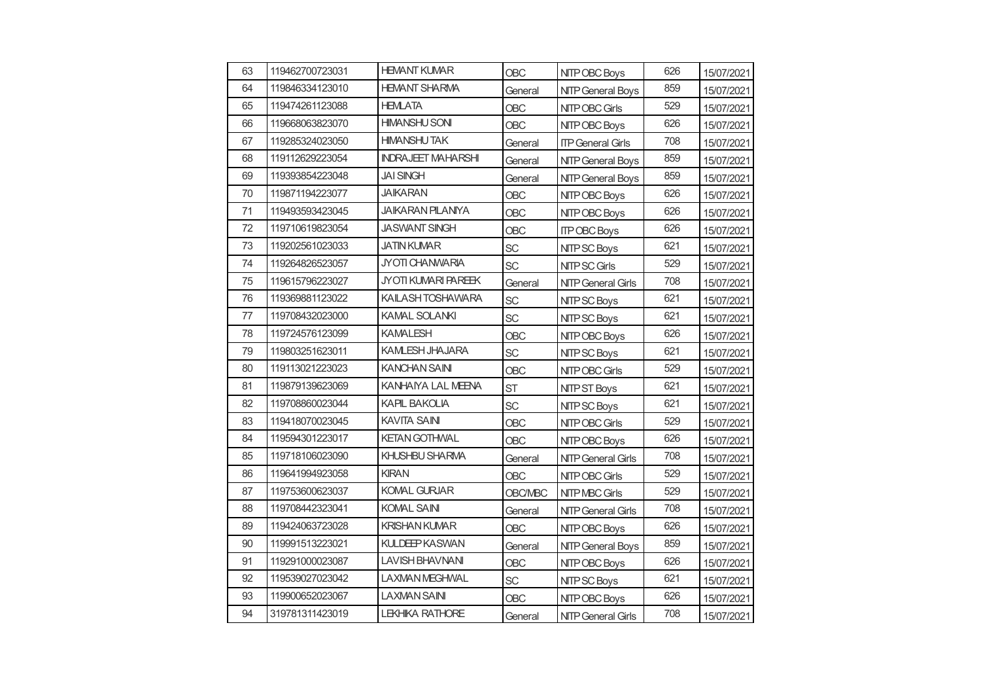| 63 | 119462700723031 | <b>HEMANT KUMAR</b>       | <b>OBC</b>     | NITP OBC Boys             | 626 | 15/07/2021 |
|----|-----------------|---------------------------|----------------|---------------------------|-----|------------|
| 64 | 119846334123010 | <b>HEMANT SHARMA</b>      | General        | <b>NITP General Boys</b>  | 859 | 15/07/2021 |
| 65 | 119474261123088 | <b>HEMLATA</b>            | OBC            | NITP OBC Girls            | 529 | 15/07/2021 |
| 66 | 119668063823070 | <b>HIMANSHU SONI</b>      | <b>OBC</b>     | NITP OBC Boys             | 626 | 15/07/2021 |
| 67 | 119285324023050 | <b>HIMANSHUTAK</b>        | General        | <b>ITP General Girls</b>  | 708 | 15/07/2021 |
| 68 | 119112629223054 | <b>INDRAJEET MAHARSHI</b> | General        | <b>NITP General Boys</b>  | 859 | 15/07/2021 |
| 69 | 119393854223048 | <b>JAI SINGH</b>          | General        | <b>NITP General Boys</b>  | 859 | 15/07/2021 |
| 70 | 119871194223077 | <b>JAIKARAN</b>           | OBC            | NITP OBC Boys             | 626 | 15/07/2021 |
| 71 | 119493593423045 | JAIKARAN PILANIYA         | <b>OBC</b>     | NITP OBC Boys             | 626 | 15/07/2021 |
| 72 | 119710619823054 | <b>JASWANT SINGH</b>      | OBC            | <b>ITP OBC Boys</b>       | 626 | 15/07/2021 |
| 73 | 119202561023033 | <b>JATIN KUMAR</b>        | <b>SC</b>      | NITP SC Boys              | 621 | 15/07/2021 |
| 74 | 119264826523057 | JYOTI CHANWARIA           | <b>SC</b>      | NITP SC Girls             | 529 | 15/07/2021 |
| 75 | 119615796223027 | JYOTI KUMARI PAREEK       | General        | <b>NITP General Girls</b> | 708 | 15/07/2021 |
| 76 | 119369881123022 | KAILASH TOSHAWARA         | <b>SC</b>      | NITP SC Boys              | 621 | 15/07/2021 |
| 77 | 119708432023000 | KAMAL SOLANKI             | SC             | NITP SC Boys              | 621 |            |
| 78 | 119724576123099 | <b>KAMALESH</b>           | <b>OBC</b>     | NITP OBC Boys             | 626 | 15/07/2021 |
| 79 | 119803251623011 | <b>KAMLESH JHAJARA</b>    | <b>SC</b>      | NITP SC Boys              | 621 | 15/07/2021 |
| 80 | 119113021223023 | KANCHAN SAINI             | OBC            | NITP OBC Girls            | 529 | 15/07/2021 |
| 81 | 119879139623069 | KANHAIYA LAL MEENA        | <b>ST</b>      | <b>NITP ST Boys</b>       | 621 | 15/07/2021 |
| 82 | 119708860023044 | KAPIL BAKOLIA             | <b>SC</b>      | NITP SC Boys              | 621 | 15/07/2021 |
| 83 | 119418070023045 | <b>KAVITA SAINI</b>       | OBC            | NITP OBC Girls            | 529 | 15/07/2021 |
| 84 | 119594301223017 | <b>KETAN GOTHWAL</b>      | <b>OBC</b>     | NITP OBC Boys             | 626 | 15/07/2021 |
| 85 | 119718106023090 | KHUSHBU SHARMA            | General        | <b>NITP General Girls</b> | 708 | 15/07/2021 |
| 86 | 119641994923058 | <b>KIRAN</b>              | OBC            | NITP OBC Girls            | 529 | 15/07/2021 |
| 87 | 119753600623037 | <b>KOMAL GURJAR</b>       | <b>OBC/MBC</b> | NITP MBC Girls            | 529 | 15/07/2021 |
| 88 | 119708442323041 | KOMAL SAINI               | General        | <b>NITP General Girls</b> | 708 | 15/07/2021 |
| 89 | 119424063723028 | <b>KRISHAN KUMAR</b>      | OBC            | NITP OBC Boys             | 626 | 15/07/2021 |
| 90 | 119991513223021 | KULDEEP KASWAN            | General        | <b>NITP General Boys</b>  | 859 | 15/07/2021 |
| 91 | 119291000023087 | <b>LAVISH BHAVNANI</b>    | <b>OBC</b>     | NITP OBC Boys             | 626 | 15/07/2021 |
| 92 | 119539027023042 | LAXMAN MEGHWAL            | SC             | NITP SC Boys              | 621 | 15/07/2021 |
| 93 | 119900652023067 | LAXMAN SAINI              | <b>OBC</b>     | NITP OBC Boys             | 626 | 15/07/2021 |
| 94 | 319781311423019 | <b>LEKHIKA RATHORE</b>    | General        | NITP General Girls        | 708 | 15/07/2021 |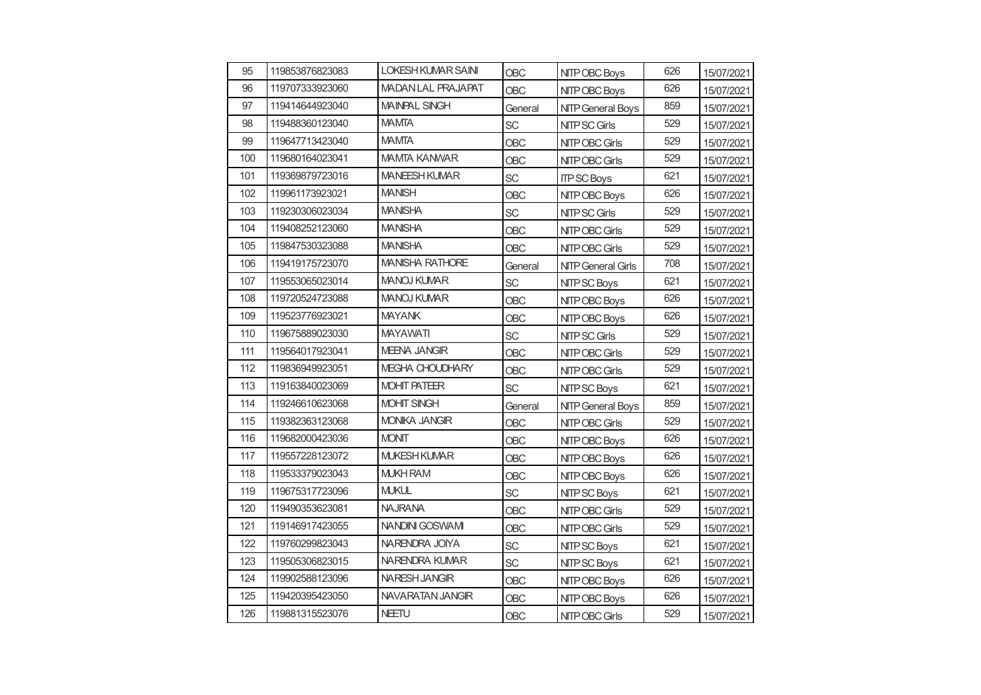| 95  | 119853876823083 | <b>LOKESH KUMAR SAINI</b> | <b>OBC</b> | NITP OBC Boys             | 626 | 15/07/2021 |
|-----|-----------------|---------------------------|------------|---------------------------|-----|------------|
| 96  | 119707333923060 | <b>MADAN LAL PRAJAPAT</b> | <b>OBC</b> | NITP OBC Boys             | 626 | 15/07/2021 |
| 97  | 119414644923040 | <b>MAINPAL SINGH</b>      | General    | <b>NITP General Boys</b>  | 859 | 15/07/2021 |
| 98  | 119488360123040 | <b>MAMTA</b>              | SC         | NITP SC Girls             | 529 | 15/07/2021 |
| 99  | 119647713423040 | <b>MAMTA</b>              | <b>OBC</b> | NITP OBC Girls            | 529 | 15/07/2021 |
| 100 | 119680164023041 | <b>MAMTA KANWAR</b>       | <b>OBC</b> | NITP OBC Girls            | 529 | 15/07/2021 |
| 101 | 119369879723016 | <b>MANEESH KUMAR</b>      | <b>SC</b>  | <b>ITP SC Boys</b>        | 621 | 15/07/2021 |
| 102 | 119961173923021 | <b>MANISH</b>             | <b>OBC</b> | NITP OBC Boys             | 626 | 15/07/2021 |
| 103 | 119230306023034 | <b>MANISHA</b>            | <b>SC</b>  | <b>NITP SC Girls</b>      | 529 | 15/07/2021 |
| 104 | 119408252123060 | <b>MANISHA</b>            | <b>OBC</b> | NITP OBC Girls            | 529 | 15/07/2021 |
| 105 | 119847530323088 | <b>MANISHA</b>            | <b>OBC</b> | NITP OBC Girls            | 529 | 15/07/2021 |
| 106 | 119419175723070 | <b>MANISHA RATHORE</b>    | General    | <b>NITP General Girls</b> | 708 | 15/07/2021 |
| 107 | 119553065023014 | <b>MANOJ KUMAR</b>        | SC         | NITP SC Boys              | 621 | 15/07/2021 |
| 108 | 119720524723088 | MANOJ KUMAR               | <b>OBC</b> | NITP OBC Boys             | 626 | 15/07/2021 |
| 109 | 119523776923021 | <b>MAYANK</b>             | <b>OBC</b> | NITP OBC Boys             | 626 | 15/07/2021 |
| 110 | 119675889023030 | <b>MAYAWATI</b>           | <b>SC</b>  | NITP SC Girls             | 529 | 15/07/2021 |
| 111 | 119564017923041 | <b>MEENA JANGIR</b>       | <b>OBC</b> | 529<br>NITP OBC Girls     |     | 15/07/2021 |
| 112 | 119836949923051 | MEGHA CHOUDHARY           | <b>OBC</b> | NITP OBC Girls            | 529 | 15/07/2021 |
| 113 | 119163840023069 | <b>MOHIT PATEER</b>       | <b>SC</b>  | NITP SC Boys              | 621 | 15/07/2021 |
| 114 | 119246610623068 | <b>MOHIT SINGH</b>        | General    | <b>NITP General Boys</b>  | 859 | 15/07/2021 |
| 115 | 119382363123068 | <b>MONIKA JANGIR</b>      | <b>OBC</b> | NITP OBC Girls            | 529 | 15/07/2021 |
| 116 | 119682000423036 | <b>MONIT</b>              | <b>OBC</b> | NITP OBC Boys             | 626 | 15/07/2021 |
| 117 | 119557228123072 | <b>MUKESH KUMAR</b>       | <b>OBC</b> | NITP OBC Boys             | 626 | 15/07/2021 |
| 118 | 119533379023043 | <b>MUKH RAM</b>           | <b>OBC</b> | NITP OBC Boys             | 626 | 15/07/2021 |
| 119 | 119675317723096 | <b>MUKUL</b>              | <b>SC</b>  | NITP SC Boys              | 621 | 15/07/2021 |
| 120 | 119490353623081 | <b>NAJRANA</b>            | <b>OBC</b> | NITP OBC Girls            | 529 | 15/07/2021 |
| 121 | 119146917423055 | NANDINI GOSWAMI           | OBC        | NITP OBC Girls            | 529 | 15/07/2021 |
| 122 | 119760299823043 | NARENDRA JOIYA            | SC         | NITP SC Boys              | 621 | 15/07/2021 |
| 123 | 119505306823015 | NARENDRA KUMAR            | <b>SC</b>  | NITP SC Boys              | 621 | 15/07/2021 |
| 124 | 119902588123096 | NARESH JANGIR             | <b>OBC</b> | NITP OBC Boys             | 626 | 15/07/2021 |
| 125 | 119420395423050 | NAVARATAN JANGIR          | <b>OBC</b> | NITP OBC Boys             | 626 | 15/07/2021 |
| 126 | 119881315523076 | <b>NEETU</b>              | <b>OBC</b> | NITP OBC Girls            | 529 | 15/07/2021 |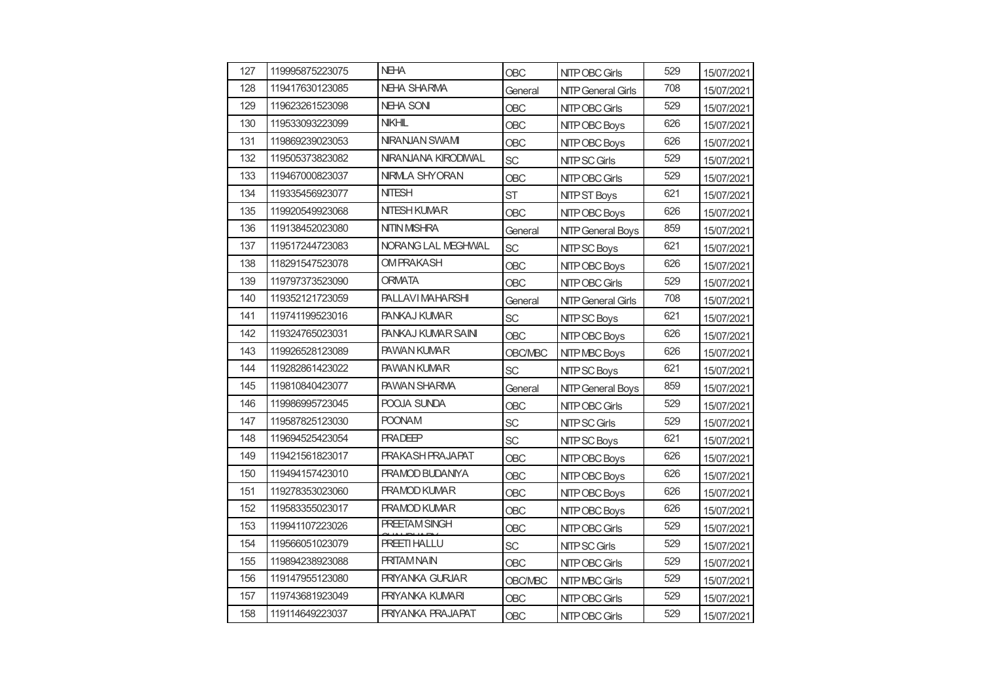| 127 | 119995875223075 | <b>NEHA</b>              | <b>OBC</b>     | NITP OBC Girls            | 529 | 15/07/2021 |
|-----|-----------------|--------------------------|----------------|---------------------------|-----|------------|
| 128 | 119417630123085 | <b>NEHA SHARMA</b>       | General        | <b>NITP General Girls</b> | 708 | 15/07/2021 |
| 129 | 119623261523098 | <b>NEHA SONI</b>         | OBC            | NITP OBC Girls            | 529 | 15/07/2021 |
| 130 | 119533093223099 | <b>NKHL</b>              | <b>OBC</b>     | NITP OBC Boys             | 626 | 15/07/2021 |
| 131 | 119869239023053 | NIRANJAN SWAMI           | <b>OBC</b>     | NITP OBC Boys             | 626 | 15/07/2021 |
| 132 | 119505373823082 | NIRANJANA KIRODIWAL      | <b>SC</b>      | <b>NITP SC Girls</b>      | 529 | 15/07/2021 |
| 133 | 119467000823037 | NRMLA SHYORAN            | <b>OBC</b>     | NITP OBC Girls            | 529 | 15/07/2021 |
| 134 | 119335456923077 | <b>NITESH</b>            | <b>ST</b>      | <b>NITP ST Boys</b>       | 621 | 15/07/2021 |
| 135 | 119920549923068 | <b>NITESH KUMAR</b>      | OBC            | NITP OBC Boys             | 626 | 15/07/2021 |
| 136 | 119138452023080 | <b>NITIN MISHRA</b>      | General        | <b>NITP General Boys</b>  | 859 | 15/07/2021 |
| 137 | 119517244723083 | NORANG LAL MEGHWAL       | <b>SC</b>      | NITP SC Boys              | 621 | 15/07/2021 |
| 138 | 118291547523078 | <b>OMPRAKASH</b>         | <b>OBC</b>     | NITP OBC Boys             | 626 | 15/07/2021 |
| 139 | 119797373523090 | <b>ORMATA</b>            | OBC            | NITP OBC Girls            | 529 | 15/07/2021 |
| 140 | 119352121723059 | PALLAVI MAHARSHI         | General        | <b>NITP General Girls</b> | 708 | 15/07/2021 |
| 141 | 119741199523016 | <b>PANKAJ KUMAR</b>      | SC             | NITP SC Boys              | 621 | 15/07/2021 |
| 142 | 119324765023031 | PANKAJ KUMAR SAINI       | <b>OBC</b>     | NITP OBC Boys             | 626 | 15/07/2021 |
| 143 | 119926528123089 | <b>PAWAN KUMAR</b>       | <b>OBC/MBC</b> | NITP MBC Boys             | 626 | 15/07/2021 |
| 144 | 119282861423022 | <b>PAWAN KUMAR</b>       | SC             | NITP SC Boys              | 621 | 15/07/2021 |
| 145 | 119810840423077 | <b>PAWAN SHARMA</b>      | General        | <b>NITP General Boys</b>  | 859 | 15/07/2021 |
| 146 | 119986995723045 | POOJA SUNDA              | OBC            | NITP OBC Girls            | 529 | 15/07/2021 |
| 147 | 119587825123030 | <b>POONAM</b>            | <b>SC</b>      | NITP SC Girls             | 529 | 15/07/2021 |
| 148 | 119694525423054 | <b>PRADEEP</b>           | SC             | NITP SC Boys              | 621 | 15/07/2021 |
| 149 | 119421561823017 | <b>PRAKASH PRAJAPAT</b>  | <b>OBC</b>     | NITP OBC Boys             | 626 | 15/07/2021 |
| 150 | 119494157423010 | <b>PRAMOD BUDANIYA</b>   | OBC            | NITP OBC Boys             | 626 | 15/07/2021 |
| 151 | 119278353023060 | <b>PRAMOD KUMAR</b>      | <b>OBC</b>     | NITP OBC Boys             | 626 | 15/07/2021 |
| 152 | 119583355023017 | <b>PRAMOD KUMAR</b>      | <b>OBC</b>     | NITP OBC Boys             | 626 | 15/07/2021 |
| 153 | 119941107223026 | <b>PREETAM SINGH</b>     | <b>OBC</b>     | NITP OBC Girls            | 529 | 15/07/2021 |
| 154 | 119566051023079 | <b>PREETI HALLU</b>      | SC             | <b>NITP SC Girls</b>      | 529 | 15/07/2021 |
| 155 | 119894238923088 | <b>PRITAM NAIN</b>       | OBC            | NITP OBC Girls            | 529 | 15/07/2021 |
| 156 | 119147955123080 | <b>PRIYANKA GURJAR</b>   | <b>OBC/MBC</b> | NITP MBC Girls            | 529 | 15/07/2021 |
| 157 | 119743681923049 | PRIYANKA KUMARI          | <b>OBC</b>     | NITP OBC Girls            | 529 | 15/07/2021 |
| 158 | 119114649223037 | <b>PRIYANKA PRAJAPAT</b> | <b>OBC</b>     | NITP OBC Girls            | 529 | 15/07/2021 |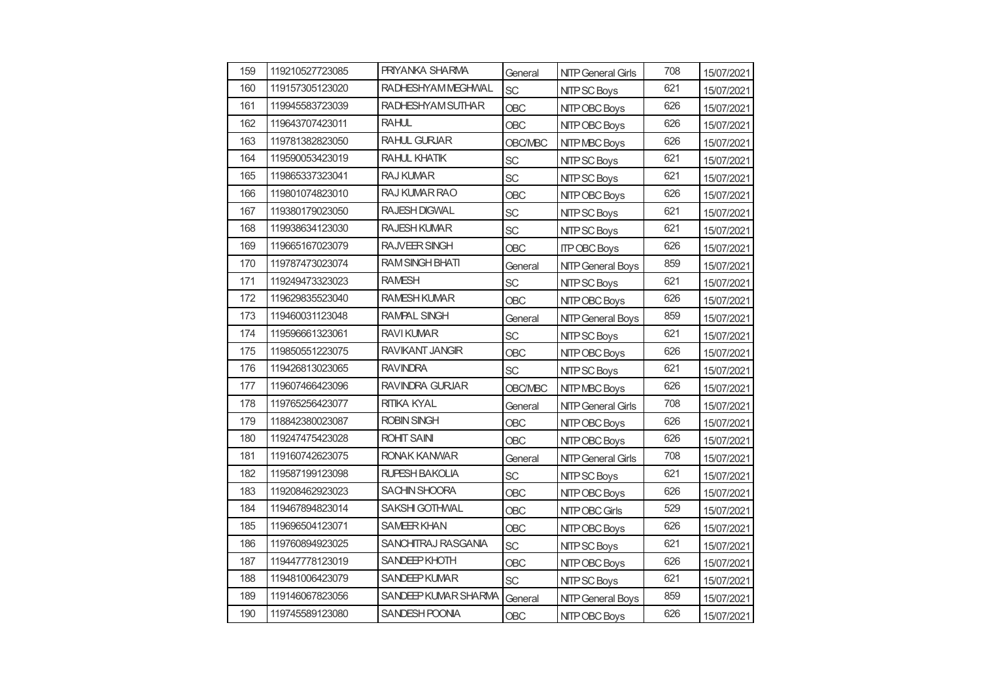| 159 | 119210527723085 | <b>PRIYANKA SHARMA</b> | General        | <b>NITP General Girls</b> | 708 | 15/07/2021 |
|-----|-----------------|------------------------|----------------|---------------------------|-----|------------|
| 160 | 119157305123020 | RADHESHYAM MEGHWAL     | <b>SC</b>      | NITP SC Boys              | 621 | 15/07/2021 |
| 161 | 119945583723039 | RADHESHYAM SUTHAR      | OBC            | NITP OBC Boys             | 626 | 15/07/2021 |
| 162 | 119643707423011 | <b>RAHUL</b>           | <b>OBC</b>     | NITP OBC Boys             | 626 | 15/07/2021 |
| 163 | 119781382823050 | <b>RAHUL GURJAR</b>    | <b>OBC/MBC</b> | NITP MBC Boys             | 626 | 15/07/2021 |
| 164 | 119590053423019 | <b>RAHUL KHATIK</b>    | <b>SC</b>      | NITP SC Boys              | 621 | 15/07/2021 |
| 165 | 119865337323041 | <b>RAJ KUMAR</b>       | <b>SC</b>      | NITP SC Boys              | 621 | 15/07/2021 |
| 166 | 119801074823010 | <b>RAJ KUMAR RAO</b>   | <b>OBC</b>     | NITP OBC Boys             | 626 | 15/07/2021 |
| 167 | 119380179023050 | <b>RAJESH DIGWAL</b>   | <b>SC</b>      | NITP SC Boys              | 621 | 15/07/2021 |
| 168 | 119938634123030 | <b>RAJESH KUMAR</b>    | <b>SC</b>      | NITP SC Boys              | 621 | 15/07/2021 |
| 169 | 119665167023079 | RAJVEER SINGH          | <b>OBC</b>     | <b>ITP OBC Boys</b>       | 626 | 15/07/2021 |
| 170 | 119787473023074 | <b>RAM SINGH BHATI</b> | General        | <b>NITP General Boys</b>  | 859 | 15/07/2021 |
| 171 | 119249473323023 | <b>RAMESH</b>          | <b>SC</b>      | NITP SC Boys              | 621 | 15/07/2021 |
| 172 | 119629835523040 | <b>RAMESH KUMAR</b>    | <b>OBC</b>     | NITP OBC Boys             | 626 | 15/07/2021 |
| 173 | 119460031123048 | <b>RAMPAL SINGH</b>    | General        | <b>NITP General Boys</b>  | 859 |            |
| 174 | 119596661323061 | <b>RAVIKUMAR</b>       | <b>SC</b>      | NITP SC Boys              | 621 | 15/07/2021 |
| 175 | 119850551223075 | <b>RAVIKANT JANGIR</b> | <b>OBC</b>     | NITP OBC Boys             | 626 | 15/07/2021 |
| 176 | 119426813023065 | <b>RAVINDRA</b>        | SC             | NITP SC Boys              | 621 | 15/07/2021 |
| 177 | 119607466423096 | <b>RAVINDRA GURJAR</b> | <b>OBC/MBC</b> | NITP MBC Boys             | 626 | 15/07/2021 |
| 178 | 119765256423077 | RITIKA KYAL            | General        | <b>NITP General Girls</b> | 708 | 15/07/2021 |
| 179 | 118842380023087 | <b>ROBIN SINGH</b>     | OBC            | NITP OBC Boys             | 626 | 15/07/2021 |
| 180 | 119247475423028 | <b>ROHIT SAIN</b>      | <b>OBC</b>     | NITP OBC Boys             | 626 | 15/07/2021 |
| 181 | 119160742623075 | RONAK KANWAR           | General        | <b>NITP General Girls</b> | 708 | 15/07/2021 |
| 182 | 119587199123098 | RUPESH BAKOLIA         | <b>SC</b>      | NITP SC Boys              | 621 | 15/07/2021 |
| 183 | 119208462923023 | SACHIN SHOORA          | <b>OBC</b>     | NITP OBC Boys             | 626 | 15/07/2021 |
| 184 | 119467894823014 | <b>SAKSHI GOTHWAL</b>  | <b>OBC</b>     | NITP OBC Girls            | 529 | 15/07/2021 |
| 185 | 119696504123071 | <b>SAMEER KHAN</b>     | <b>OBC</b>     | NITP OBC Boys             | 626 | 15/07/2021 |
| 186 | 119760894923025 | SANCHITRAJ RASGANIA    | <b>SC</b>      | NITP SC Boys              | 621 | 15/07/2021 |
| 187 | 119447778123019 | SANDEEP KHOTH          | <b>OBC</b>     | NITP OBC Boys             | 626 | 15/07/2021 |
| 188 | 119481006423079 | SANDEEP KUMAR          | <b>SC</b>      | NITP SC Boys              | 621 | 15/07/2021 |
| 189 | 119146067823056 | SANDEEP KUMAR SHARMA   | General        | <b>NITP General Boys</b>  | 859 | 15/07/2021 |
| 190 | 119745589123080 | SANDESH POONIA         | <b>OBC</b>     | NITP OBC Boys             | 626 | 15/07/2021 |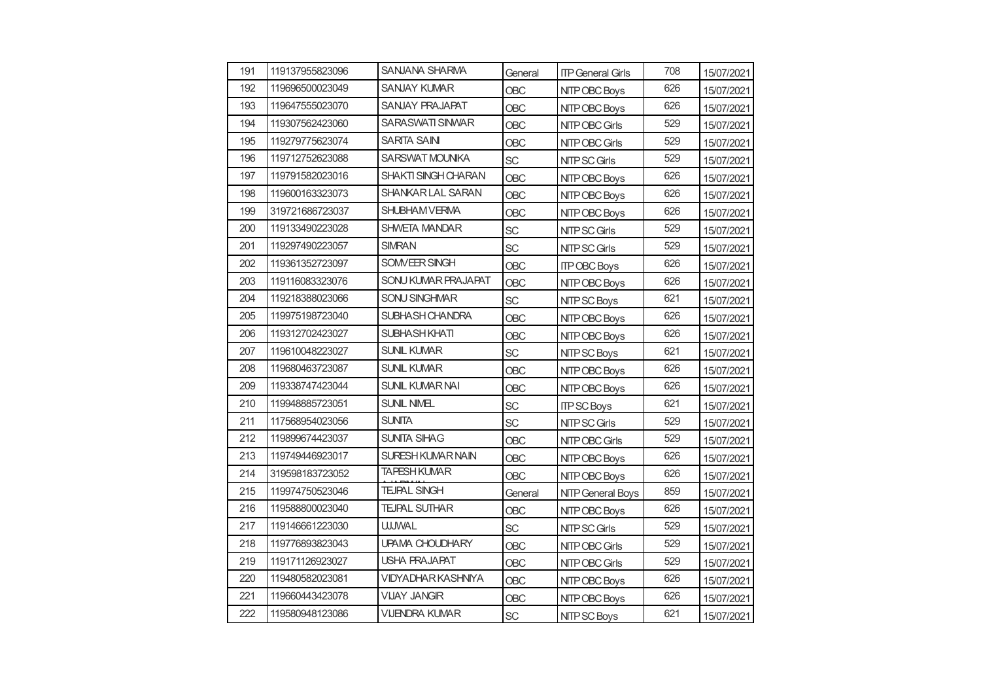| 191 | 119137955823096 | SANJANA SHARMA             | General    | <b>ITP General Girls</b> | 708 | 15/07/2021 |
|-----|-----------------|----------------------------|------------|--------------------------|-----|------------|
| 192 | 119696500023049 | <b>SANJAY KUMAR</b>        | <b>OBC</b> | NITP OBC Boys            | 626 | 15/07/2021 |
| 193 | 119647555023070 | <b>SANJAY PRAJAPAT</b>     | <b>OBC</b> | NITP OBC Boys            | 626 | 15/07/2021 |
| 194 | 119307562423060 | SARASWATI SINWAR           | <b>OBC</b> | NITP OBC Girls           | 529 | 15/07/2021 |
| 195 | 119279775623074 | <b>SARITA SAIN</b>         | <b>OBC</b> | NITP OBC Girls           | 529 | 15/07/2021 |
| 196 | 119712752623088 | <b>SARSWAT MOUNIKA</b>     | <b>SC</b>  | NITP SC Girls            | 529 | 15/07/2021 |
| 197 | 119791582023016 | <b>SHAKTI SINGH CHARAN</b> | <b>OBC</b> | NITP OBC Boys            | 626 | 15/07/2021 |
| 198 | 119600163323073 | SHANKAR LAL SARAN          | <b>OBC</b> | NITP OBC Boys            | 626 | 15/07/2021 |
| 199 | 319721686723037 | <b>SHUBHAMVERMA</b>        | <b>OBC</b> | NITP OBC Boys            | 626 | 15/07/2021 |
| 200 | 119133490223028 | <b>SHWETA MANDAR</b>       | <b>SC</b>  | NITP SC Girls            | 529 | 15/07/2021 |
| 201 | 119297490223057 | <b>SIMRAN</b>              | <b>SC</b>  | NITP SC Girls            | 529 | 15/07/2021 |
| 202 | 119361352723097 | SOMVEER SINGH              | <b>OBC</b> | <b>ITP OBC Boys</b>      | 626 | 15/07/2021 |
| 203 | 119116083323076 | SONU KUMAR PRAJAPAT        | <b>OBC</b> | NITP OBC Boys            | 626 | 15/07/2021 |
| 204 | 119218388023066 | <b>SONU SINGHMAR</b>       | <b>SC</b>  | NITP SC Boys             | 621 | 15/07/2021 |
| 205 | 119975198723040 | SUBHASH CHANDRA            | <b>OBC</b> | NITP OBC Boys            | 626 | 15/07/2021 |
| 206 | 119312702423027 | SUBHASH KHATI              | <b>OBC</b> | NITP OBC Boys            | 626 | 15/07/2021 |
| 207 | 119610048223027 | <b>SUNIL KUMAR</b>         | SC         | NITP SC Boys             | 621 | 15/07/2021 |
| 208 | 119680463723087 | <b>SUNIL KUMAR</b>         | <b>OBC</b> | NITP OBC Boys            | 626 | 15/07/2021 |
| 209 | 119338747423044 | <b>SUNIL KUMAR NAI</b>     | <b>OBC</b> | NITP OBC Boys            | 626 | 15/07/2021 |
| 210 | 119948885723051 | SUNIL NIMEL                | SC         | <b>ITP SC Boys</b>       | 621 | 15/07/2021 |
| 211 | 117568954023056 | <b>SUNITA</b>              | <b>SC</b>  | NITP SC Girls            | 529 | 15/07/2021 |
| 212 | 119899674423037 | <b>SUNITA SIHAG</b>        | <b>OBC</b> | NITP OBC Girls           | 529 | 15/07/2021 |
| 213 | 119749446923017 | SURESH KUMAR NAIN          | <b>OBC</b> | NITP OBC Boys            | 626 | 15/07/2021 |
| 214 | 319598183723052 | <b>TAPESH KUMAR</b>        | <b>OBC</b> | NITP OBC Boys            | 626 | 15/07/2021 |
| 215 | 119974750523046 | <b>TEJPAL SINGH</b>        | General    | <b>NITP General Boys</b> | 859 | 15/07/2021 |
| 216 | 119588800023040 | <b>TEJPAL SUTHAR</b>       | <b>OBC</b> | NITP OBC Boys            | 626 | 15/07/2021 |
| 217 | 119146661223030 | <b>UJJWAL</b>              | <b>SC</b>  | NITP SC Girls            | 529 | 15/07/2021 |
| 218 | 119776893823043 | UPAMA CHOUDHARY            | <b>OBC</b> | NITP OBC Girls           | 529 | 15/07/2021 |
| 219 | 119171126923027 | <b>USHA PRAJAPAT</b>       | <b>OBC</b> | NITP OBC Girls           | 529 | 15/07/2021 |
| 220 | 119480582023081 | VIDYADHAR KASHNIYA         | <b>OBC</b> | NITP OBC Boys            | 626 | 15/07/2021 |
| 221 | 119660443423078 | <b>VIJAY JANGIR</b>        | <b>OBC</b> | NITP OBC Boys            | 626 | 15/07/2021 |
| 222 | 119580948123086 | <b>VIJENDRA KUMAR</b>      | <b>SC</b>  | NITP SC Boys             | 621 | 15/07/2021 |